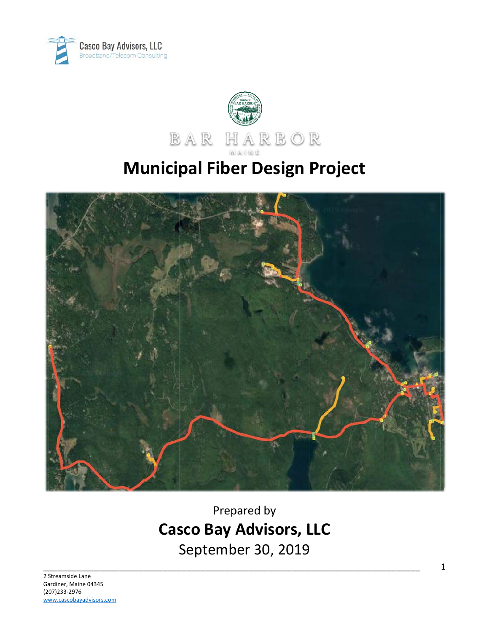



# **Municipal Fiber Design Project**



Prepared by **Casco Bay Advisors, LLC** September 30, 2019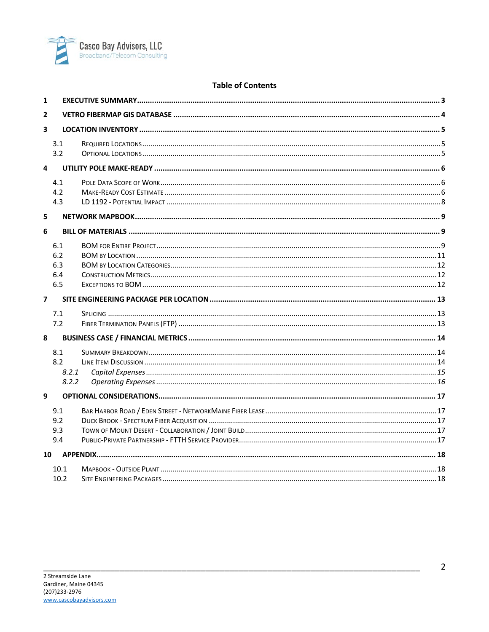

#### **Table of Contents**

| $\mathbf{1}$   |       |  |  |
|----------------|-------|--|--|
| $\overline{2}$ |       |  |  |
| 3              |       |  |  |
|                | 3.1   |  |  |
|                | 3.2   |  |  |
| 4              |       |  |  |
|                | 4.1   |  |  |
|                | 4.2   |  |  |
|                | 4.3   |  |  |
| 5              |       |  |  |
| 6              |       |  |  |
|                | 6.1   |  |  |
|                | 6.2   |  |  |
|                | 6.3   |  |  |
|                | 6.4   |  |  |
|                | 6.5   |  |  |
| $\overline{7}$ |       |  |  |
|                |       |  |  |
|                | 7.1   |  |  |
|                | 7.2   |  |  |
| 8              |       |  |  |
|                | 8.1   |  |  |
|                | 8.2   |  |  |
|                | 8.2.1 |  |  |
|                | 8.2.2 |  |  |
| 9              |       |  |  |
|                | 9.1   |  |  |
|                | 9.2   |  |  |
|                | 9.3   |  |  |
|                | 9.4   |  |  |
| 10             |       |  |  |
|                | 10.1  |  |  |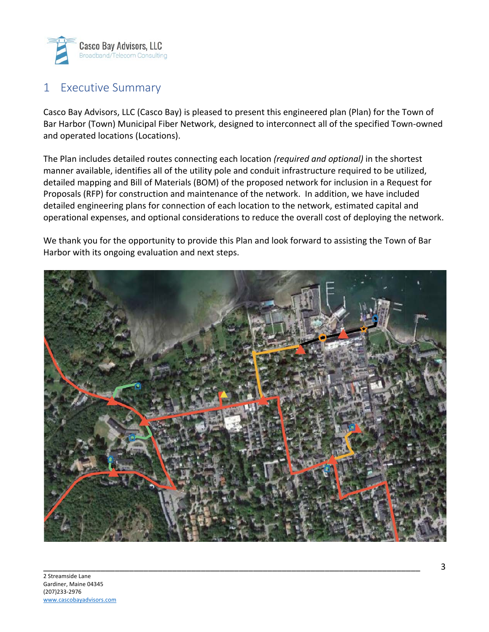

### 1 Executive Summary

Casco Bay Advisors, LLC (Casco Bay) is pleased to present this engineered plan (Plan) for the Town of Bar Harbor (Town) Municipal Fiber Network, designed to interconnect all of the specified Town-owned and operated locations (Locations).

The Plan includes detailed routes connecting each location *(required and optional)* in the shortest manner available, identifies all of the utility pole and conduit infrastructure required to be utilized, detailed mapping and Bill of Materials (BOM) of the proposed network for inclusion in a Request for Proposals (RFP) for construction and maintenance of the network. In addition, we have included detailed engineering plans for connection of each location to the network, estimated capital and operational expenses, and optional considerations to reduce the overall cost of deploying the network.

We thank you for the opportunity to provide this Plan and look forward to assisting the Town of Bar Harbor with its ongoing evaluation and next steps.

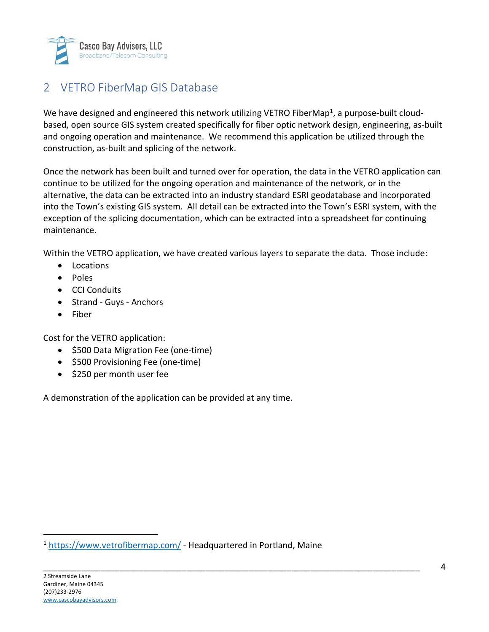

# 2 VETRO FiberMap GIS Database

We have designed and engineered this network utilizing VETRO FiberMap<sup>1</sup>, a purpose-built cloudbased, open source GIS system created specifically for fiber optic network design, engineering, as-built and ongoing operation and maintenance. We recommend this application be utilized through the construction, as-built and splicing of the network.

Once the network has been built and turned over for operation, the data in the VETRO application can continue to be utilized for the ongoing operation and maintenance of the network, or in the alternative, the data can be extracted into an industry standard ESRI geodatabase and incorporated into the Town's existing GIS system. All detail can be extracted into the Town's ESRI system, with the exception of the splicing documentation, which can be extracted into a spreadsheet for continuing maintenance.

Within the VETRO application, we have created various layers to separate the data. Those include:

- Locations
- Poles
- CCI Conduits
- Strand Guys Anchors
- Fiber

Cost for the VETRO application:

- \$500 Data Migration Fee (one-time)
- \$500 Provisioning Fee (one-time)
- \$250 per month user fee

A demonstration of the application can be provided at any time.

<sup>1</sup> https://www.vetrofibermap.com/ - Headquartered in Portland, Maine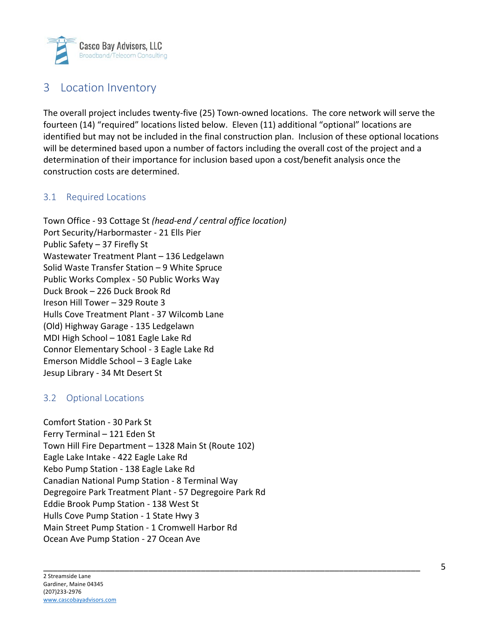

### 3 Location Inventory

The overall project includes twenty-five (25) Town-owned locations. The core network will serve the fourteen (14) "required" locations listed below. Eleven (11) additional "optional" locations are identified but may not be included in the final construction plan. Inclusion of these optional locations will be determined based upon a number of factors including the overall cost of the project and a determination of their importance for inclusion based upon a cost/benefit analysis once the construction costs are determined.

#### 3.1 Required Locations

Town Office - 93 Cottage St *(head-end / central office location)* Port Security/Harbormaster - 21 Ells Pier Public Safety – 37 Firefly St Wastewater Treatment Plant – 136 Ledgelawn Solid Waste Transfer Station – 9 White Spruce Public Works Complex - 50 Public Works Way Duck Brook – 226 Duck Brook Rd Ireson Hill Tower – 329 Route 3 Hulls Cove Treatment Plant - 37 Wilcomb Lane (Old) Highway Garage - 135 Ledgelawn MDI High School – 1081 Eagle Lake Rd Connor Elementary School - 3 Eagle Lake Rd Emerson Middle School – 3 Eagle Lake Jesup Library - 34 Mt Desert St

#### 3.2 Optional Locations

Comfort Station - 30 Park St Ferry Terminal – 121 Eden St Town Hill Fire Department – 1328 Main St (Route 102) Eagle Lake Intake - 422 Eagle Lake Rd Kebo Pump Station - 138 Eagle Lake Rd Canadian National Pump Station - 8 Terminal Way Degregoire Park Treatment Plant - 57 Degregoire Park Rd Eddie Brook Pump Station - 138 West St Hulls Cove Pump Station - 1 State Hwy 3 Main Street Pump Station - 1 Cromwell Harbor Rd Ocean Ave Pump Station - 27 Ocean Ave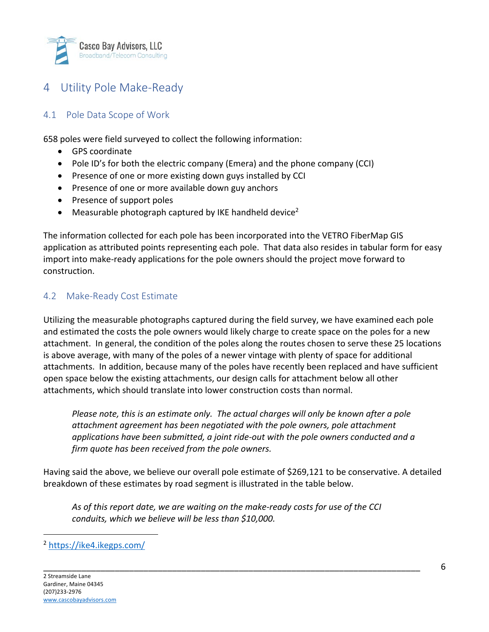

# 4 Utility Pole Make-Ready

#### 4.1 Pole Data Scope of Work

658 poles were field surveyed to collect the following information:

- GPS coordinate
- Pole ID's for both the electric company (Emera) and the phone company (CCI)
- Presence of one or more existing down guys installed by CCI
- Presence of one or more available down guy anchors
- Presence of support poles
- Measurable photograph captured by IKE handheld device<sup>2</sup>

The information collected for each pole has been incorporated into the VETRO FiberMap GIS application as attributed points representing each pole. That data also resides in tabular form for easy import into make-ready applications for the pole owners should the project move forward to construction.

#### 4.2 Make-Ready Cost Estimate

Utilizing the measurable photographs captured during the field survey, we have examined each pole and estimated the costs the pole owners would likely charge to create space on the poles for a new attachment. In general, the condition of the poles along the routes chosen to serve these 25 locations is above average, with many of the poles of a newer vintage with plenty of space for additional attachments. In addition, because many of the poles have recently been replaced and have sufficient open space below the existing attachments, our design calls for attachment below all other attachments, which should translate into lower construction costs than normal.

*Please note, this is an estimate only. The actual charges will only be known after a pole attachment agreement has been negotiated with the pole owners, pole attachment applications have been submitted, a joint ride-out with the pole owners conducted and a firm quote has been received from the pole owners.*

Having said the above, we believe our overall pole estimate of \$269,121 to be conservative. A detailed breakdown of these estimates by road segment is illustrated in the table below.

*As of this report date, we are waiting on the make-ready costs for use of the CCI conduits, which we believe will be less than \$10,000.*

<sup>2</sup> https://ike4.ikegps.com/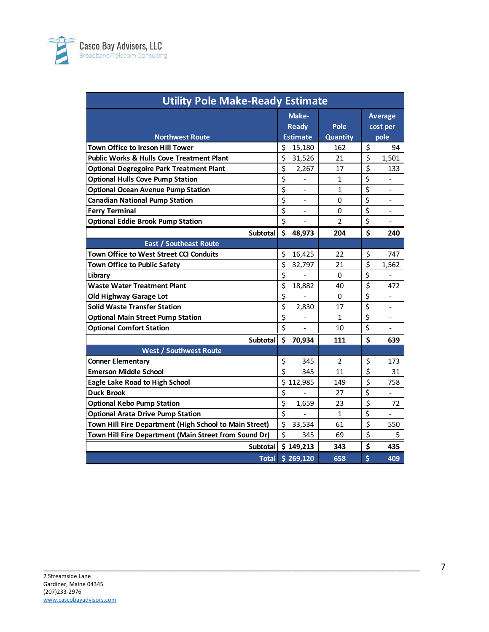

| <b>Utility Pole Make-Ready Estimate</b>                |                                    |                 |                                                                 |  |
|--------------------------------------------------------|------------------------------------|-----------------|-----------------------------------------------------------------|--|
|                                                        | Make-<br><b>Ready</b>              | Pole            | <b>Average</b><br>cost per                                      |  |
| <b>Northwest Route</b>                                 | <b>Estimate</b>                    | <b>Quantity</b> | pole                                                            |  |
| <b>Town Office to Ireson Hill Tower</b>                | \$<br>15,180                       | 162             | \$<br>94                                                        |  |
| <b>Public Works &amp; Hulls Cove Treatment Plant</b>   | \$<br>31,526                       | 21              | $\overline{\boldsymbol{\zeta}}$<br>1,501                        |  |
| <b>Optional Degregoire Park Treatment Plant</b>        | \$<br>2,267                        | 17              | $\overline{\boldsymbol{\zeta}}$<br>133                          |  |
| <b>Optional Hulls Cove Pump Station</b>                | \$<br>$\qquad \qquad \blacksquare$ | $\mathbf{1}$    | $\overline{\boldsymbol{\zeta}}$<br>$\qquad \qquad \blacksquare$ |  |
| <b>Optional Ocean Avenue Pump Station</b>              | \$<br>$\overline{a}$               | $\mathbf{1}$    | \$<br>$\frac{1}{2}$                                             |  |
| <b>Canadian National Pump Station</b>                  | \$                                 | 0               | $\overline{\xi}$                                                |  |
| <b>Ferry Terminal</b>                                  | \$                                 | 0               | \$                                                              |  |
| <b>Optional Eddie Brook Pump Station</b>               | \$                                 | $\overline{2}$  | \$                                                              |  |
| <b>Subtotal</b>                                        | \$<br>48,973                       | 204             | \$<br>240                                                       |  |
| <b>East / Southeast Route</b>                          |                                    |                 |                                                                 |  |
| <b>Town Office to West Street CCI Conduits</b>         | \$<br>16,425                       | 22              | \$<br>747                                                       |  |
| Town Office to Public Safety                           | \$<br>32,797                       | 21              | \$<br>1,562                                                     |  |
| Library                                                | \$                                 | $\mathbf 0$     | $\overline{\boldsymbol{\zeta}}$                                 |  |
| <b>Waste Water Treatment Plant</b>                     | \$<br>18,882                       | 40              | $\overline{\boldsymbol{\zeta}}$<br>472                          |  |
| Old Highway Garage Lot                                 | \$                                 | 0               | \$                                                              |  |
| <b>Solid Waste Transfer Station</b>                    | \$<br>2,830                        | 17              | \$                                                              |  |
| <b>Optional Main Street Pump Station</b>               | \$<br>$\overline{a}$               | $\mathbf{1}$    | \$<br>$\qquad \qquad \blacksquare$                              |  |
| <b>Optional Comfort Station</b>                        | \$                                 | 10              | \$<br>$\overline{a}$                                            |  |
| Subtotal                                               | \$<br>70,934                       | 111             | \$<br>639                                                       |  |
| <b>West / Southwest Route</b>                          |                                    |                 |                                                                 |  |
| <b>Conner Elementary</b>                               | \$<br>345                          | 2               | \$<br>173                                                       |  |
| <b>Emerson Middle School</b>                           | \$<br>345                          | 11              | \$<br>31                                                        |  |
| <b>Eagle Lake Road to High School</b>                  | \$112,985                          | 149             | \$<br>758                                                       |  |
| <b>Duck Brook</b>                                      | \$                                 | 27              | \$<br>$\overline{a}$                                            |  |
| <b>Optional Kebo Pump Station</b>                      | \$<br>1,659                        | 23              | \$<br>72                                                        |  |
| <b>Optional Arata Drive Pump Station</b>               | $\overline{\mathsf{S}}$            | $\mathbf{1}$    | \$                                                              |  |
| Town Hill Fire Department (High School to Main Street) | \$<br>33,534                       | 61              | $\overline{\boldsymbol{\zeta}}$<br>550                          |  |
| Town Hill Fire Department (Main Street from Sound Dr)  | \$<br>345                          | 69              | \$<br>5                                                         |  |
|                                                        | Subtotal \$ 149,213                | 343             | \$<br>435                                                       |  |
|                                                        | Total \$ 269,120                   | 658             | \$<br>409                                                       |  |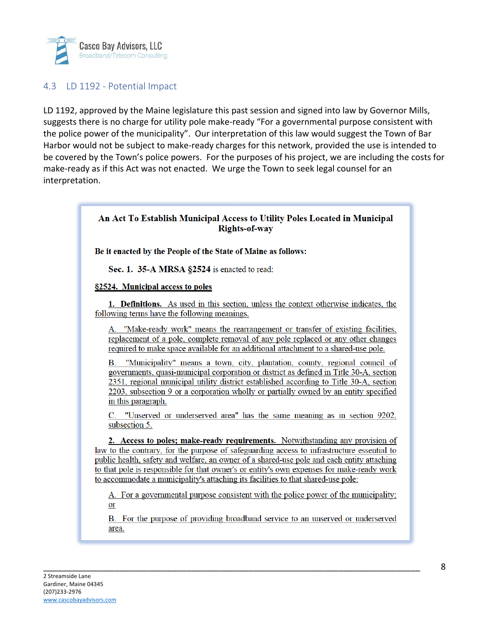

#### 4.3 LD 1192 - Potential Impact

LD 1192, approved by the Maine legislature this past session and signed into law by Governor Mills, suggests there is no charge for utility pole make-ready "For a governmental purpose consistent with the police power of the municipality". Our interpretation of this law would suggest the Town of Bar Harbor would not be subject to make-ready charges for this network, provided the use is intended to be covered by the Town's police powers. For the purposes of his project, we are including the costs for make-ready as if this Act was not enacted. We urge the Town to seek legal counsel for an interpretation.

### An Act To Establish Municipal Access to Utility Poles Located in Municipal **Rights-of-way**

Be it enacted by the People of the State of Maine as follows:

Sec. 1. 35-A MRSA §2524 is enacted to read:

§2524. Municipal access to poles

1. Definitions. As used in this section, unless the context otherwise indicates, the following terms have the following meanings.

"Make-ready work" means the rearrangement or transfer of existing facilities, А. replacement of a pole, complete removal of any pole replaced or any other changes required to make space available for an additional attachment to a shared-use pole.

"Municipality" means a town, city, plantation, county, regional council of  $\mathbf{B}$ . governments, quasi-municipal corporation or district as defined in Title 30-A, section 2351, regional municipal utility district established according to Title 30-A, section 2203, subsection 9 or a corporation wholly or partially owned by an entity specified in this paragraph.

C. "Unserved or underserved area" has the same meaning as in section 9202, subsection 5.

2. Access to poles; make-ready requirements. Notwithstanding any provision of law to the contrary, for the purpose of safeguarding access to infrastructure essential to public health, safety and welfare, an owner of a shared-use pole and each entity attaching to that pole is responsible for that owner's or entity's own expenses for make-ready work to accommodate a municipality's attaching its facilities to that shared-use pole:

A. For a governmental purpose consistent with the police power of the municipality;  $or$ </u>

B. For the purpose of providing broadband service to an unserved or underserved area.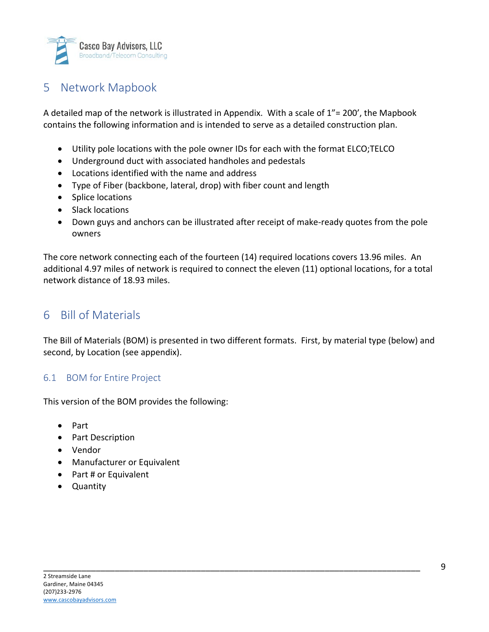

## 5 Network Mapbook

A detailed map of the network is illustrated in Appendix. With a scale of  $1"$  = 200', the Mapbook contains the following information and is intended to serve as a detailed construction plan.

- Utility pole locations with the pole owner IDs for each with the format ELCO;TELCO
- Underground duct with associated handholes and pedestals
- Locations identified with the name and address
- Type of Fiber (backbone, lateral, drop) with fiber count and length
- Splice locations
- Slack locations
- Down guys and anchors can be illustrated after receipt of make-ready quotes from the pole owners

The core network connecting each of the fourteen (14) required locations covers 13.96 miles. An additional 4.97 miles of network is required to connect the eleven (11) optional locations, for a total network distance of 18.93 miles.

### 6 Bill of Materials

The Bill of Materials (BOM) is presented in two different formats. First, by material type (below) and second, by Location (see appendix).

\_\_\_\_\_\_\_\_\_\_\_\_\_\_\_\_\_\_\_\_\_\_\_\_\_\_\_\_\_\_\_\_\_\_\_\_\_\_\_\_\_\_\_\_\_\_\_\_\_\_\_\_\_\_\_\_\_\_\_\_\_\_\_\_\_\_\_\_\_\_\_\_\_\_\_\_\_\_\_

#### 6.1 BOM for Entire Project

This version of the BOM provides the following:

- Part
- Part Description
- Vendor
- Manufacturer or Equivalent
- Part # or Equivalent
- Quantity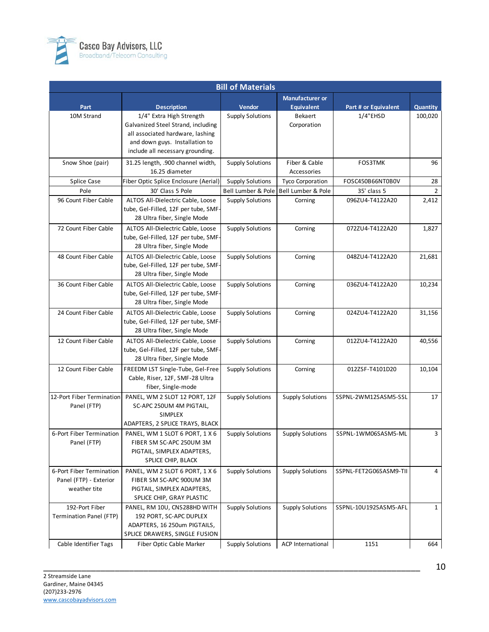

| <b>Bill of Materials</b>                                                                                                                   |              |  |  |  |  |
|--------------------------------------------------------------------------------------------------------------------------------------------|--------------|--|--|--|--|
| <b>Manufacturer or</b>                                                                                                                     |              |  |  |  |  |
| Vendor<br><b>Equivalent</b><br>Part<br><b>Description</b><br>Part # or Equivalent                                                          | Quantity     |  |  |  |  |
| 1/4" Extra High Strength<br>$1/4$ "EHSD<br>10M Strand<br><b>Supply Solutions</b><br>Bekaert                                                | 100,020      |  |  |  |  |
| Galvanized Steel Strand, including<br>Corporation                                                                                          |              |  |  |  |  |
| all associated hardware, lashing                                                                                                           |              |  |  |  |  |
| and down guys. Installation to                                                                                                             |              |  |  |  |  |
| include all necessary grounding.                                                                                                           |              |  |  |  |  |
| Fiber & Cable<br>Snow Shoe (pair)<br>31.25 length, .900 channel width,<br><b>Supply Solutions</b><br><b>FOS3TMK</b>                        | 96           |  |  |  |  |
| 16.25 diameter<br>Accessories                                                                                                              |              |  |  |  |  |
| Fiber Optic Splice Enclosure (Aerial)<br><b>Supply Solutions</b><br>Splice Case<br><b>Tyco Corporation</b><br>FOSC450B66NT0B0V             | 28           |  |  |  |  |
| Pole<br>30' Class 5 Pole<br>Bell Lumber & Pole<br>Bell Lumber & Pole<br>35' class 5                                                        | 2            |  |  |  |  |
| 96 Count Fiber Cable<br>ALTOS All-Dielectric Cable, Loose<br><b>Supply Solutions</b><br>096ZU4-T4122A20<br>Corning                         | 2,412        |  |  |  |  |
| tube, Gel-Filled, 12F per tube, SMF-                                                                                                       |              |  |  |  |  |
| 28 Ultra fiber, Single Mode                                                                                                                |              |  |  |  |  |
| 72 Count Fiber Cable<br>ALTOS All-Dielectric Cable, Loose<br><b>Supply Solutions</b><br>Corning<br>072ZU4-T4122A20                         | 1,827        |  |  |  |  |
| tube, Gel-Filled, 12F per tube, SMF-                                                                                                       |              |  |  |  |  |
| 28 Ultra fiber, Single Mode                                                                                                                |              |  |  |  |  |
| 48 Count Fiber Cable<br>ALTOS All-Dielectric Cable, Loose<br>Supply Solutions<br>Corning<br>048ZU4-T4122A20                                | 21,681       |  |  |  |  |
| tube, Gel-Filled, 12F per tube, SMF-                                                                                                       |              |  |  |  |  |
| 28 Ultra fiber, Single Mode                                                                                                                |              |  |  |  |  |
| 36 Count Fiber Cable<br>ALTOS All-Dielectric Cable, Loose<br><b>Supply Solutions</b><br>Corning<br>036ZU4-T4122A20                         | 10,234       |  |  |  |  |
| tube, Gel-Filled, 12F per tube, SMF-                                                                                                       |              |  |  |  |  |
| 28 Ultra fiber, Single Mode                                                                                                                |              |  |  |  |  |
| 24 Count Fiber Cable<br>ALTOS All-Dielectric Cable, Loose<br><b>Supply Solutions</b><br>Corning<br>024ZU4-T4122A20                         | 31,156       |  |  |  |  |
| tube, Gel-Filled, 12F per tube, SMF-                                                                                                       |              |  |  |  |  |
| 28 Ultra fiber, Single Mode                                                                                                                |              |  |  |  |  |
| 12 Count Fiber Cable<br>ALTOS All-Dielectric Cable, Loose<br><b>Supply Solutions</b><br>Corning<br>012ZU4-T4122A20                         | 40,556       |  |  |  |  |
| tube, Gel-Filled, 12F per tube, SMF-                                                                                                       |              |  |  |  |  |
| 28 Ultra fiber, Single Mode                                                                                                                |              |  |  |  |  |
| 12 Count Fiber Cable<br>FREEDM LST Single-Tube, Gel-Free<br>012ZSF-T4101D20<br><b>Supply Solutions</b><br>Corning                          | 10,104       |  |  |  |  |
| Cable, Riser, 12F, SMF-28 Ultra                                                                                                            |              |  |  |  |  |
| fiber, Single-mode                                                                                                                         |              |  |  |  |  |
| 12-Port Fiber Termination<br>PANEL, WM 2 SLOT 12 PORT, 12F<br>SSPNL-2WM12SASM5-SSL<br><b>Supply Solutions</b><br><b>Supply Solutions</b>   | 17           |  |  |  |  |
| Panel (FTP)<br>SC-APC 250UM 4M PIGTAIL,                                                                                                    |              |  |  |  |  |
| <b>SIMPLEX</b>                                                                                                                             |              |  |  |  |  |
| ADAPTERS, 2 SPLICE TRAYS, BLACK                                                                                                            |              |  |  |  |  |
| 6-Port Fiber Termination<br>PANEL, WM 1 SLOT 6 PORT, 1 X 6<br><b>Supply Solutions</b><br><b>Supply Solutions</b><br>SSPNL-1WM06SASM5-ML    | 3            |  |  |  |  |
| Panel (FTP)<br>FIBER SM SC-APC 250UM 3M                                                                                                    |              |  |  |  |  |
| PIGTAIL, SIMPLEX ADAPTERS,                                                                                                                 |              |  |  |  |  |
| SPLICE CHIP, BLACK                                                                                                                         |              |  |  |  |  |
| 6-Port Fiber Termination<br><b>Supply Solutions</b><br>PANEL, WM 2 SLOT 6 PORT, 1 X 6<br><b>Supply Solutions</b><br>SSPNL-FET2G06SASM9-TII | 4            |  |  |  |  |
| Panel (FTP) - Exterior<br>FIBER SM SC-APC 900UM 3M                                                                                         |              |  |  |  |  |
| weather tite<br>PIGTAIL, SIMPLEX ADAPTERS,                                                                                                 |              |  |  |  |  |
| SPLICE CHIP, GRAY PLASTIC                                                                                                                  |              |  |  |  |  |
| 192-Port Fiber<br>PANEL, RM 10U, CNS288HD WITH<br>SSPNL-10U192SASM5-AFL<br>Supply Solutions<br><b>Supply Solutions</b>                     | $\mathbf{1}$ |  |  |  |  |
| 192 PORT, SC-APC DUPLEX<br>Termination Panel (FTP)                                                                                         |              |  |  |  |  |
| ADAPTERS, 16 250um PIGTAILS,                                                                                                               |              |  |  |  |  |
| SPLICE DRAWERS, SINGLE FUSION                                                                                                              |              |  |  |  |  |
| Cable Identifier Tags<br>Fiber Optic Cable Marker<br><b>Supply Solutions</b><br><b>ACP</b> International<br>1151                           | 664          |  |  |  |  |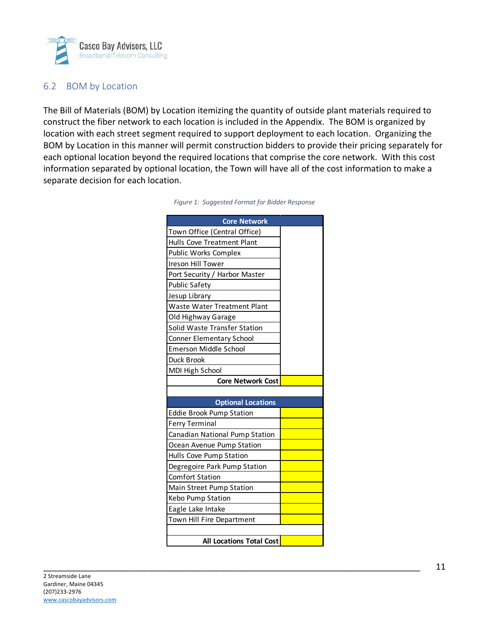

### 6.2 BOM by Location

The Bill of Materials (BOM) by Location itemizing the quantity of outside plant materials required to construct the fiber network to each location is included in the Appendix. The BOM is organized by location with each street segment required to support deployment to each location. Organizing the BOM by Location in this manner will permit construction bidders to provide their pricing separately for each optional location beyond the required locations that comprise the core network. With this cost information separated by optional location, the Town will have all of the cost information to make a separate decision for each location.

| <b>Core Network</b>                |  |
|------------------------------------|--|
| Town Office (Central Office)       |  |
| Hulls Cove Treatment Plant         |  |
| Public Works Complex               |  |
| Ireson Hill Tower                  |  |
| Port Security / Harbor Master      |  |
| <b>Public Safety</b>               |  |
| Jesup Library                      |  |
| <b>Waste Water Treatment Plant</b> |  |
| Old Highway Garage                 |  |
| Solid Waste Transfer Station       |  |
| <b>Conner Elementary School</b>    |  |
| Emerson Middle School              |  |
| Duck Brook                         |  |
| MDI High School                    |  |
| <b>Core Network Cost</b>           |  |
|                                    |  |
| <b>Optional Locations</b>          |  |
| <b>Eddie Brook Pump Station</b>    |  |
| <b>Ferry Terminal</b>              |  |
| Canadian National Pump Station     |  |
| Ocean Avenue Pump Station          |  |
| Hulls Cove Pump Station            |  |
| Degregoire Park Pump Station       |  |
| <b>Comfort Station</b>             |  |
| Main Street Pump Station           |  |
| Kebo Pump Station                  |  |
| Eagle Lake Intake                  |  |
| Town Hill Fire Department          |  |
|                                    |  |
| <b>All Locations Total Cost</b>    |  |

| Figure 1: Suggested Format for Bidder Response |  |  |  |
|------------------------------------------------|--|--|--|
|------------------------------------------------|--|--|--|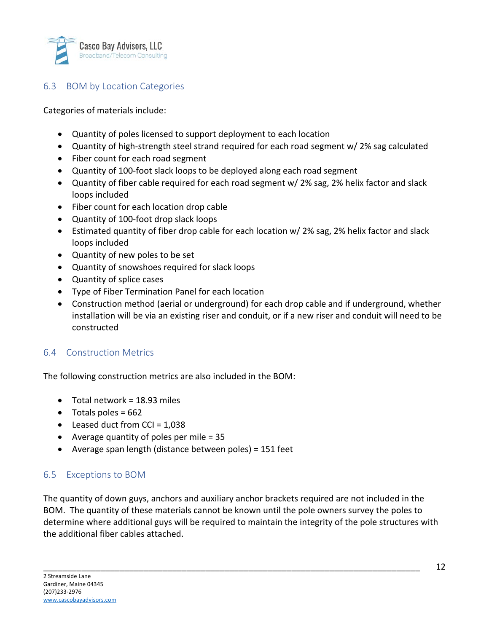

### 6.3 BOM by Location Categories

Categories of materials include:

- Quantity of poles licensed to support deployment to each location
- Quantity of high-strength steel strand required for each road segment w/ 2% sag calculated
- Fiber count for each road segment
- Quantity of 100-foot slack loops to be deployed along each road segment
- Quantity of fiber cable required for each road segment w/ 2% sag, 2% helix factor and slack loops included
- Fiber count for each location drop cable
- Quantity of 100-foot drop slack loops
- Estimated quantity of fiber drop cable for each location w/ 2% sag, 2% helix factor and slack loops included
- Quantity of new poles to be set
- Quantity of snowshoes required for slack loops
- Quantity of splice cases
- Type of Fiber Termination Panel for each location
- Construction method (aerial or underground) for each drop cable and if underground, whether installation will be via an existing riser and conduit, or if a new riser and conduit will need to be constructed

#### 6.4 Construction Metrics

The following construction metrics are also included in the BOM:

- Total network =  $18.93$  miles
- $\bullet$  Totals poles = 662
- Leased duct from  $CCI = 1,038$
- Average quantity of poles per mile = 35
- Average span length (distance between poles) = 151 feet

#### 6.5 Exceptions to BOM

The quantity of down guys, anchors and auxiliary anchor brackets required are not included in the BOM. The quantity of these materials cannot be known until the pole owners survey the poles to determine where additional guys will be required to maintain the integrity of the pole structures with the additional fiber cables attached.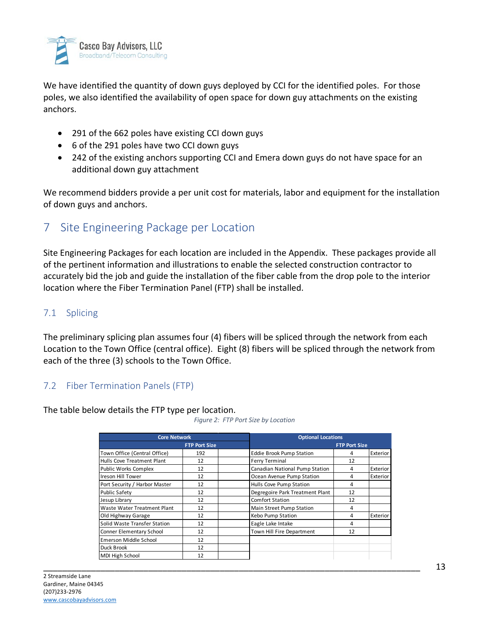

We have identified the quantity of down guys deployed by CCI for the identified poles. For those poles, we also identified the availability of open space for down guy attachments on the existing anchors.

- 291 of the 662 poles have existing CCI down guys
- 6 of the 291 poles have two CCI down guys
- 242 of the existing anchors supporting CCI and Emera down guys do not have space for an additional down guy attachment

We recommend bidders provide a per unit cost for materials, labor and equipment for the installation of down guys and anchors.

### 7 Site Engineering Package per Location

Site Engineering Packages for each location are included in the Appendix. These packages provide all of the pertinent information and illustrations to enable the selected construction contractor to accurately bid the job and guide the installation of the fiber cable from the drop pole to the interior location where the Fiber Termination Panel (FTP) shall be installed.

### 7.1 Splicing

The preliminary splicing plan assumes four (4) fibers will be spliced through the network from each Location to the Town Office (central office). Eight (8) fibers will be spliced through the network from each of the three (3) schools to the Town Office.

#### 7.2 Fiber Termination Panels (FTP)

The table below details the FTP type per location.

*Figure 2: FTP Port Size by Location*

| <b>Core Network</b>           |                      | <b>Optional Locations</b> |                                 |                      |                 |
|-------------------------------|----------------------|---------------------------|---------------------------------|----------------------|-----------------|
|                               | <b>FTP Port Size</b> |                           |                                 | <b>FTP Port Size</b> |                 |
| Town Office (Central Office)  | 192                  |                           | <b>Eddie Brook Pump Station</b> | 4                    | <b>Exterior</b> |
| Hulls Cove Treatment Plant    | 12                   |                           | <b>Ferry Terminal</b>           | 12                   |                 |
| Public Works Complex          | 12                   |                           | Canadian National Pump Station  | 4                    | <b>Exterior</b> |
| Ireson Hill Tower             | 12                   |                           | Ocean Avenue Pump Station       | 4                    | <b>Exterior</b> |
| Port Security / Harbor Master | 12                   |                           | Hulls Cove Pump Station         | 4                    |                 |
| <b>Public Safety</b>          | 12                   |                           | Degregoire Park Treatment Plant | 12                   |                 |
| Jesup Library                 | 12                   |                           | <b>Comfort Station</b>          | 12                   |                 |
| Waste Water Treatment Plant   | 12                   |                           | Main Street Pump Station        | 4                    |                 |
| Old Highway Garage            | 12                   |                           | Kebo Pump Station               | 4                    | Exterior        |
| Solid Waste Transfer Station  | 12                   |                           | Eagle Lake Intake               | 4                    |                 |
| Conner Elementary School      | 12                   |                           | Town Hill Fire Department       | 12                   |                 |
| Emerson Middle School         | 12                   |                           |                                 |                      |                 |
| Duck Brook                    | 12                   |                           |                                 |                      |                 |
| MDI High School               | 12                   |                           |                                 |                      |                 |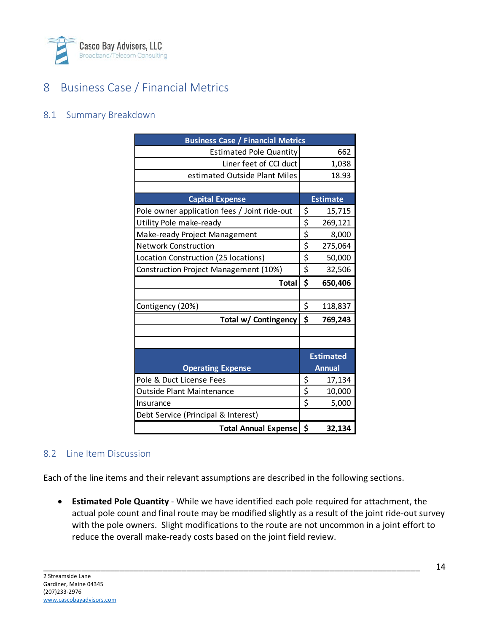

# 8 Business Case / Financial Metrics

#### 8.1 Summary Breakdown

| <b>Business Case / Financial Metrics</b>     |    |                  |  |
|----------------------------------------------|----|------------------|--|
| <b>Estimated Pole Quantity</b>               |    | 662              |  |
| Liner feet of CCI duct                       |    | 1,038            |  |
| estimated Outside Plant Miles                |    | 18.93            |  |
|                                              |    |                  |  |
| <b>Capital Expense</b>                       |    | <b>Estimate</b>  |  |
| Pole owner application fees / Joint ride-out | \$ | 15,715           |  |
| Utility Pole make-ready                      | \$ | 269,121          |  |
| Make-ready Project Management                | \$ | 8,000            |  |
| <b>Network Construction</b>                  | \$ | 275,064          |  |
| Location Construction (25 locations)         | \$ | 50,000           |  |
| Construction Project Management (10%)        | \$ | 32,506           |  |
| <b>Total</b>                                 | \$ | 650,406          |  |
|                                              |    |                  |  |
| Contigency (20%)                             | \$ | 118,837          |  |
| Total w/ Contingency                         | \$ | 769,243          |  |
|                                              |    |                  |  |
|                                              |    |                  |  |
|                                              |    | <b>Estimated</b> |  |
| <b>Operating Expense</b>                     |    | <b>Annual</b>    |  |
| Pole & Duct License Fees                     | \$ | 17,134           |  |
| Outside Plant Maintenance                    | \$ | 10,000           |  |
| Insurance                                    | \$ | 5,000            |  |
| Debt Service (Principal & Interest)          |    |                  |  |
| <b>Total Annual Expense</b>                  | \$ | 32,134           |  |

#### 8.2 Line Item Discussion

Each of the line items and their relevant assumptions are described in the following sections.

\_\_\_\_\_\_\_\_\_\_\_\_\_\_\_\_\_\_\_\_\_\_\_\_\_\_\_\_\_\_\_\_\_\_\_\_\_\_\_\_\_\_\_\_\_\_\_\_\_\_\_\_\_\_\_\_\_\_\_\_\_\_\_\_\_\_\_\_\_\_\_\_\_\_\_\_\_\_\_

• **Estimated Pole Quantity** - While we have identified each pole required for attachment, the actual pole count and final route may be modified slightly as a result of the joint ride-out survey with the pole owners. Slight modifications to the route are not uncommon in a joint effort to reduce the overall make-ready costs based on the joint field review.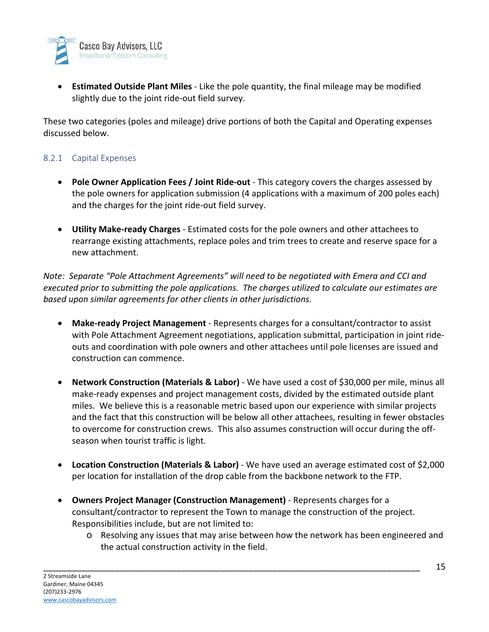

• **Estimated Outside Plant Miles** - Like the pole quantity, the final mileage may be modified slightly due to the joint ride-out field survey.

These two categories (poles and mileage) drive portions of both the Capital and Operating expenses discussed below.

#### 8.2.1 Capital Expenses

- **Pole Owner Application Fees / Joint Ride-out** This category covers the charges assessed by the pole owners for application submission (4 applications with a maximum of 200 poles each) and the charges for the joint ride-out field survey.
- **Utility Make-ready Charges** Estimated costs for the pole owners and other attachees to rearrange existing attachments, replace poles and trim trees to create and reserve space for a new attachment.

*Note: Separate "Pole Attachment Agreements" will need to be negotiated with Emera and CCI and executed prior to submitting the pole applications. The charges utilized to calculate our estimates are based upon similar agreements for other clients in other jurisdictions.*

- **Make-ready Project Management** Represents charges for a consultant/contractor to assist with Pole Attachment Agreement negotiations, application submittal, participation in joint rideouts and coordination with pole owners and other attachees until pole licenses are issued and construction can commence.
- **Network Construction (Materials & Labor)** We have used a cost of \$30,000 per mile, minus all make-ready expenses and project management costs, divided by the estimated outside plant miles. We believe this is a reasonable metric based upon our experience with similar projects and the fact that this construction will be below all other attachees, resulting in fewer obstacles to overcome for construction crews. This also assumes construction will occur during the offseason when tourist traffic is light.
- **Location Construction (Materials & Labor)** We have used an average estimated cost of \$2,000 per location for installation of the drop cable from the backbone network to the FTP.
- **Owners Project Manager (Construction Management)** Represents charges for a consultant/contractor to represent the Town to manage the construction of the project. Responsibilities include, but are not limited to:

\_\_\_\_\_\_\_\_\_\_\_\_\_\_\_\_\_\_\_\_\_\_\_\_\_\_\_\_\_\_\_\_\_\_\_\_\_\_\_\_\_\_\_\_\_\_\_\_\_\_\_\_\_\_\_\_\_\_\_\_\_\_\_\_\_\_\_\_\_\_\_\_\_\_\_\_\_\_\_

o Resolving any issues that may arise between how the network has been engineered and the actual construction activity in the field.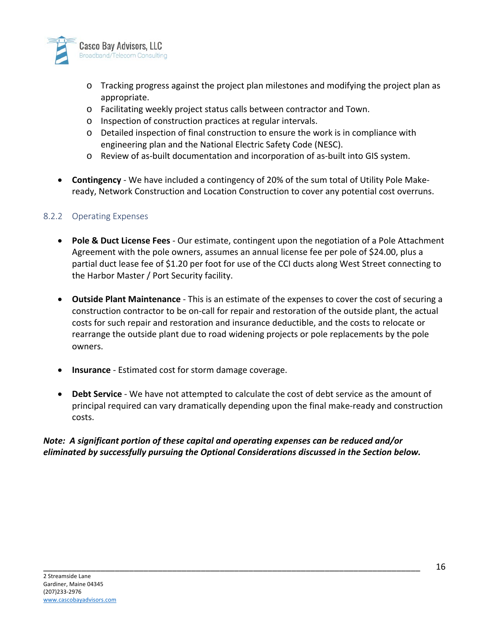

- o Tracking progress against the project plan milestones and modifying the project plan as appropriate.
- o Facilitating weekly project status calls between contractor and Town.
- o Inspection of construction practices at regular intervals.
- o Detailed inspection of final construction to ensure the work is in compliance with engineering plan and the National Electric Safety Code (NESC).
- o Review of as-built documentation and incorporation of as-built into GIS system.
- **Contingency** We have included a contingency of 20% of the sum total of Utility Pole Makeready, Network Construction and Location Construction to cover any potential cost overruns.

#### 8.2.2 Operating Expenses

- **Pole & Duct License Fees** Our estimate, contingent upon the negotiation of a Pole Attachment Agreement with the pole owners, assumes an annual license fee per pole of \$24.00, plus a partial duct lease fee of \$1.20 per foot for use of the CCI ducts along West Street connecting to the Harbor Master / Port Security facility.
- **Outside Plant Maintenance** This is an estimate of the expenses to cover the cost of securing a construction contractor to be on-call for repair and restoration of the outside plant, the actual costs for such repair and restoration and insurance deductible, and the costs to relocate or rearrange the outside plant due to road widening projects or pole replacements by the pole owners.
- **Insurance** Estimated cost for storm damage coverage.
- **Debt Service** We have not attempted to calculate the cost of debt service as the amount of principal required can vary dramatically depending upon the final make-ready and construction costs.

#### *Note: A significant portion of these capital and operating expenses can be reduced and/or eliminated by successfully pursuing the Optional Considerations discussed in the Section below.*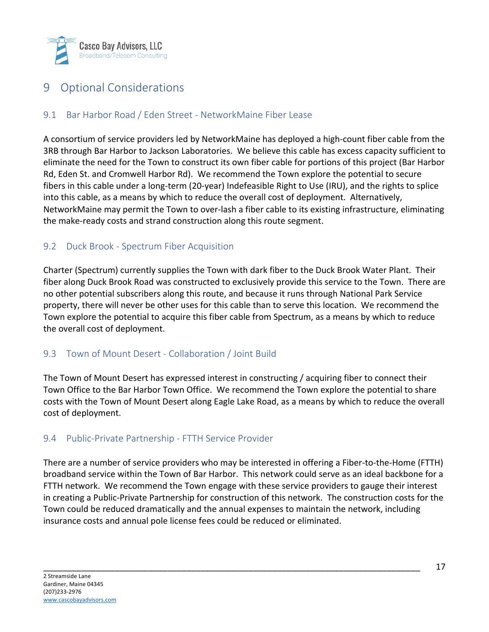

# 9 Optional Considerations

### 9.1 Bar Harbor Road / Eden Street - NetworkMaine Fiber Lease

A consortium of service providers led by NetworkMaine has deployed a high-count fiber cable from the 3RB through Bar Harbor to Jackson Laboratories. We believe this cable has excess capacity sufficient to eliminate the need for the Town to construct its own fiber cable for portions of this project (Bar Harbor Rd, Eden St. and Cromwell Harbor Rd). We recommend the Town explore the potential to secure fibers in this cable under a long-term (20-year) Indefeasible Right to Use (IRU), and the rights to splice into this cable, as a means by which to reduce the overall cost of deployment. Alternatively, NetworkMaine may permit the Town to over-lash a fiber cable to its existing infrastructure, eliminating the make-ready costs and strand construction along this route segment.

#### 9.2 Duck Brook - Spectrum Fiber Acquisition

Charter (Spectrum) currently supplies the Town with dark fiber to the Duck Brook Water Plant. Their fiber along Duck Brook Road was constructed to exclusively provide this service to the Town. There are no other potential subscribers along this route, and because it runs through National Park Service property, there will never be other uses for this cable than to serve this location. We recommend the Town explore the potential to acquire this fiber cable from Spectrum, as a means by which to reduce the overall cost of deployment.

#### 9.3 Town of Mount Desert - Collaboration / Joint Build

The Town of Mount Desert has expressed interest in constructing / acquiring fiber to connect their Town Office to the Bar Harbor Town Office. We recommend the Town explore the potential to share costs with the Town of Mount Desert along Eagle Lake Road, as a means by which to reduce the overall cost of deployment.

### 9.4 Public-Private Partnership - FTTH Service Provider

There are a number of service providers who may be interested in offering a Fiber-to-the-Home (FTTH) broadband service within the Town of Bar Harbor. This network could serve as an ideal backbone for a FTTH network. We recommend the Town engage with these service providers to gauge their interest in creating a Public-Private Partnership for construction of this network. The construction costs for the Town could be reduced dramatically and the annual expenses to maintain the network, including insurance costs and annual pole license fees could be reduced or eliminated.